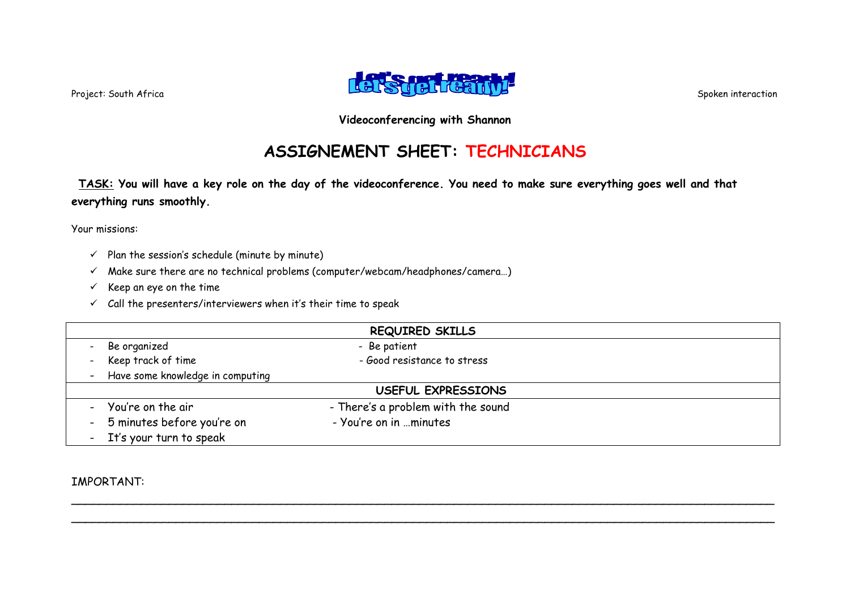

# **ASSIGNEMENT SHEET: TECHNICIANS**

**TASK: You will have a key role on the day of the videoconference. You need to make sure everything goes well and that everything runs smoothly.**

Your missions:

- $\checkmark$  Plan the session's schedule (minute by minute)
- $\checkmark$  Make sure there are no technical problems (computer/webcam/headphones/camera...)
- $\checkmark$  Keep an eye on the time
- $\checkmark$  Call the presenters/interviewers when it's their time to speak

| <b>REQUIRED SKILLS</b>             |                                    |  |
|------------------------------------|------------------------------------|--|
| Be organized                       | - Be patient                       |  |
| - Keep track of time               | - Good resistance to stress        |  |
| - Have some knowledge in computing |                                    |  |
| USEFUL EXPRESSIONS                 |                                    |  |
| - You're on the air                | - There's a problem with the sound |  |
| - 5 minutes before you're on       | - You're on in minutes             |  |
| - It's your turn to speak          |                                    |  |

\_\_\_\_\_\_\_\_\_\_\_\_\_\_\_\_\_\_\_\_\_\_\_\_\_\_\_\_\_\_\_\_\_\_\_\_\_\_\_\_\_\_\_\_\_\_\_\_\_\_\_\_\_\_\_\_\_\_\_\_\_\_\_\_\_\_\_\_\_\_\_\_\_\_\_\_\_\_\_\_\_\_\_\_\_\_\_\_\_\_\_\_\_\_\_\_\_\_\_\_\_ \_\_\_\_\_\_\_\_\_\_\_\_\_\_\_\_\_\_\_\_\_\_\_\_\_\_\_\_\_\_\_\_\_\_\_\_\_\_\_\_\_\_\_\_\_\_\_\_\_\_\_\_\_\_\_\_\_\_\_\_\_\_\_\_\_\_\_\_\_\_\_\_\_\_\_\_\_\_\_\_\_\_\_\_\_\_\_\_\_\_\_\_\_\_\_\_\_\_\_\_\_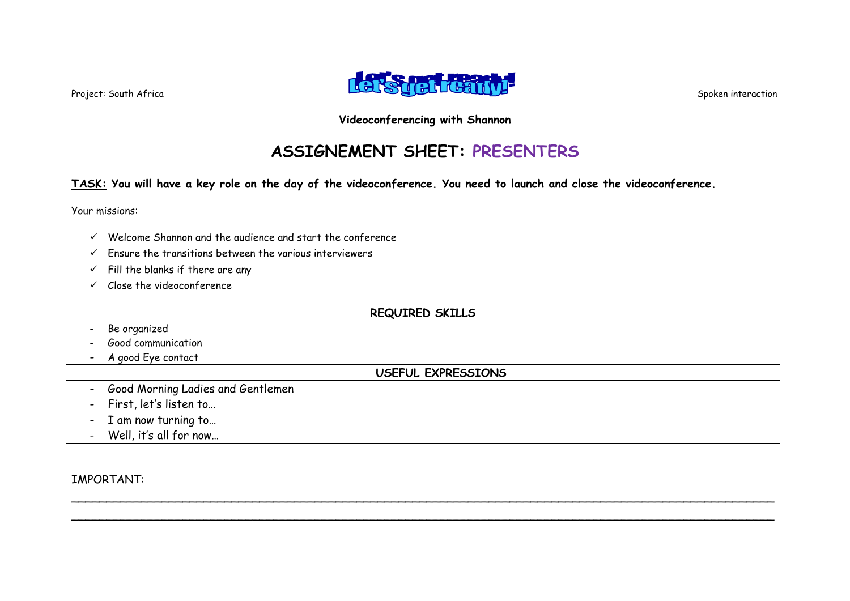

## **ASSIGNEMENT SHEET: PRESENTERS**

**TASK: You will have a key role on the day of the videoconference. You need to launch and close the videoconference.**

Your missions:

- $\checkmark$  Welcome Shannon and the audience and start the conference
- $\checkmark$  Ensure the transitions between the various interviewers
- $\checkmark$  Fill the blanks if there are any
- $\checkmark$  Close the videoconference

| <b>REQUIRED SKILLS</b>              |  |
|-------------------------------------|--|
| Be organized                        |  |
| Good communication                  |  |
| - A good Eye contact                |  |
| USEFUL EXPRESSIONS                  |  |
| - Good Morning Ladies and Gentlemen |  |
| - First, let's listen to            |  |
| - I am now turning to               |  |
| - Well, it's all for now            |  |

\_\_\_\_\_\_\_\_\_\_\_\_\_\_\_\_\_\_\_\_\_\_\_\_\_\_\_\_\_\_\_\_\_\_\_\_\_\_\_\_\_\_\_\_\_\_\_\_\_\_\_\_\_\_\_\_\_\_\_\_\_\_\_\_\_\_\_\_\_\_\_\_\_\_\_\_\_\_\_\_\_\_\_\_\_\_\_\_\_\_\_\_\_\_\_\_\_\_\_\_\_ \_\_\_\_\_\_\_\_\_\_\_\_\_\_\_\_\_\_\_\_\_\_\_\_\_\_\_\_\_\_\_\_\_\_\_\_\_\_\_\_\_\_\_\_\_\_\_\_\_\_\_\_\_\_\_\_\_\_\_\_\_\_\_\_\_\_\_\_\_\_\_\_\_\_\_\_\_\_\_\_\_\_\_\_\_\_\_\_\_\_\_\_\_\_\_\_\_\_\_\_\_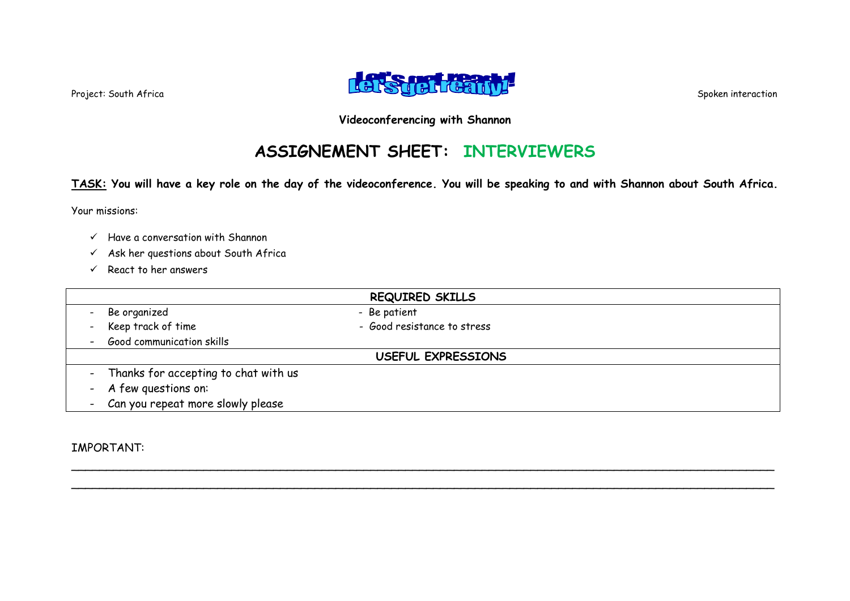

# **ASSIGNEMENT SHEET: INTERVIEWERS**

**TASK: You will have a key role on the day of the videoconference. You will be speaking to and with Shannon about South Africa.**

Your missions:

- $\checkmark$  Have a conversation with Shannon
- $\checkmark$  Ask her questions about South Africa
- $\checkmark$  React to her answers

|                                        | <b>REQUIRED SKILLS</b>      |  |
|----------------------------------------|-----------------------------|--|
| Be organized                           | - Be patient                |  |
| - Keep track of time                   | - Good resistance to stress |  |
| - Good communication skills            |                             |  |
| USEFUL EXPRESSIONS                     |                             |  |
| - Thanks for accepting to chat with us |                             |  |
| - A few questions on:                  |                             |  |
| - Can you repeat more slowly please    |                             |  |

\_\_\_\_\_\_\_\_\_\_\_\_\_\_\_\_\_\_\_\_\_\_\_\_\_\_\_\_\_\_\_\_\_\_\_\_\_\_\_\_\_\_\_\_\_\_\_\_\_\_\_\_\_\_\_\_\_\_\_\_\_\_\_\_\_\_\_\_\_\_\_\_\_\_\_\_\_\_\_\_\_\_\_\_\_\_\_\_\_\_\_\_\_\_\_\_\_\_\_\_\_ \_\_\_\_\_\_\_\_\_\_\_\_\_\_\_\_\_\_\_\_\_\_\_\_\_\_\_\_\_\_\_\_\_\_\_\_\_\_\_\_\_\_\_\_\_\_\_\_\_\_\_\_\_\_\_\_\_\_\_\_\_\_\_\_\_\_\_\_\_\_\_\_\_\_\_\_\_\_\_\_\_\_\_\_\_\_\_\_\_\_\_\_\_\_\_\_\_\_\_\_\_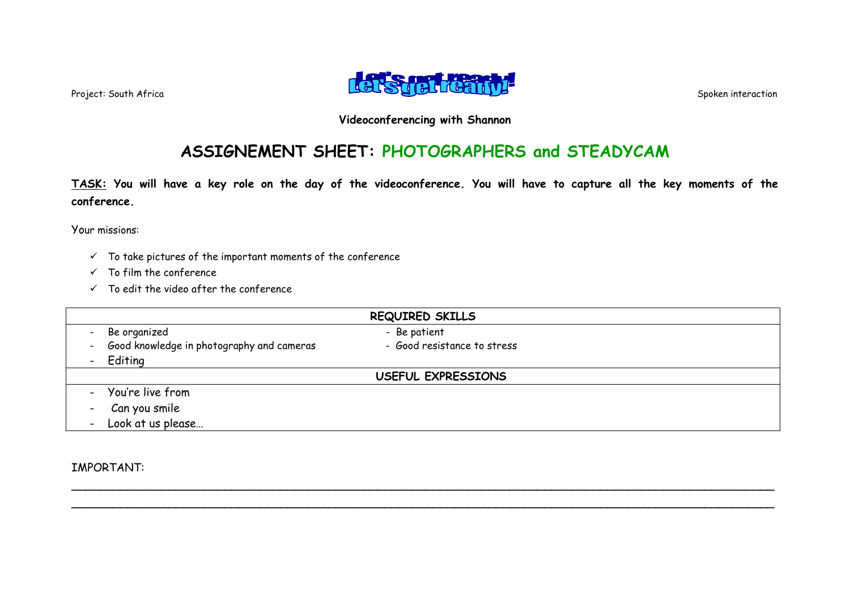

## **ASSIGNEMENT SHEET: PHOTOGRAPHERS and STEADYCAM**

**TASK: You will have a key role on the day of the videoconference. You will have to capture all the key moments of the conference.**

Your missions:

- $\checkmark$  To take pictures of the important moments of the conference
- $\checkmark$  To film the conference
- $\checkmark$  To edit the video after the conference

| <b>REQUIRED SKILLS</b>                                                       |                             |  |  |
|------------------------------------------------------------------------------|-----------------------------|--|--|
| Be organized                                                                 | - Be patient                |  |  |
| Good knowledge in photography and cameras<br>$\frac{1}{2}$ and $\frac{1}{2}$ | - Good resistance to stress |  |  |
| - Editing                                                                    |                             |  |  |
| USEFUL EXPRESSIONS                                                           |                             |  |  |
| - You're live from                                                           |                             |  |  |
| - Can you smile                                                              |                             |  |  |
| - Look at us please                                                          |                             |  |  |

\_\_\_\_\_\_\_\_\_\_\_\_\_\_\_\_\_\_\_\_\_\_\_\_\_\_\_\_\_\_\_\_\_\_\_\_\_\_\_\_\_\_\_\_\_\_\_\_\_\_\_\_\_\_\_\_\_\_\_\_\_\_\_\_\_\_\_\_\_\_\_\_\_\_\_\_\_\_\_\_\_\_\_\_\_\_\_\_\_\_\_\_\_\_\_\_\_\_\_\_\_ \_\_\_\_\_\_\_\_\_\_\_\_\_\_\_\_\_\_\_\_\_\_\_\_\_\_\_\_\_\_\_\_\_\_\_\_\_\_\_\_\_\_\_\_\_\_\_\_\_\_\_\_\_\_\_\_\_\_\_\_\_\_\_\_\_\_\_\_\_\_\_\_\_\_\_\_\_\_\_\_\_\_\_\_\_\_\_\_\_\_\_\_\_\_\_\_\_\_\_\_\_